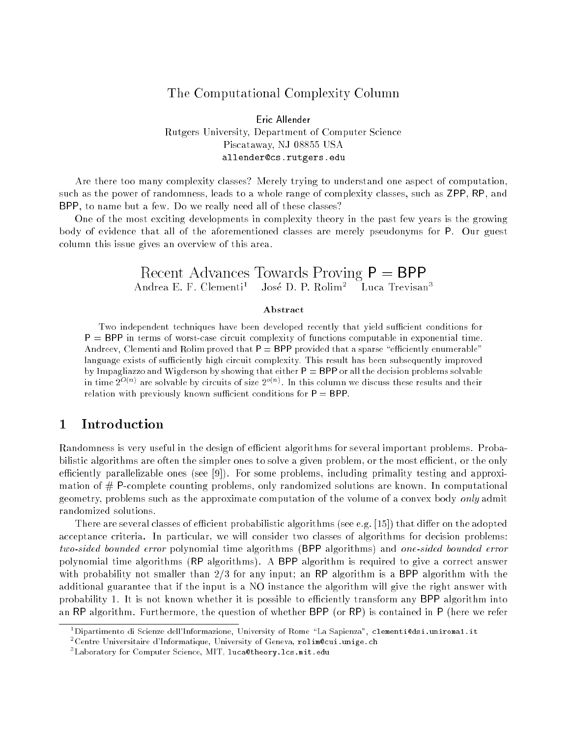## The Computational Complexity Column

### Eric Allender Rutgers University, Department of Computer Science Piscataway, NJ 08855 USA allender@cs.rutgers.edu

Are there too many complexity classes? Merely trying to understand one aspect of computation, such as the power of randomness, leads to a whole range of complexity classes, such as ZPP, RP, and BPP, to name but a few. Do we really need all of these classes?

One of the most exciting developments in complexity theory in the past few years is the growing body of evidence that all of the aforementioned classes are merely pseudonyms for P. Our guest column this issue gives an overview of this area.

#### Recent Advances Towards Proving  $P = BPP$ Andrea E. F. Clementi<sup>1</sup> José D. P. Rolim<sup>2</sup> Luca Trevisan<sup>3</sup>

#### Abstract

Two independent techniques have been developed recently that yield sufficient conditions for  $P = BPP$  in terms of worst-case circuit complexity of functions computable in exponential time. Andreev, Clementi and Rolim proved that  $P = BPP$  provided that a sparse "efficiently enumerable" language exists of sufficiently high circuit complexity. This result has been subsequently improved by Impagliazzo and Wigderson by showing that either  $P = BPP$  or all the decision problems solvable In time  $2\rightarrow$   $^{\prime}$  are solvable by circuits of size  $2\rightarrow$   $^{\prime}$ . In this column we discuss these results and their relation with previously known sufficient conditions for  $P = BPP$ .

## 1 Introduction

Randomness is very useful in the design of efficient algorithms for several important problems. Probabilistic algorithms are often the simpler ones to solve a given problem, or the most efficient, or the only efficiently parallelizable ones (see  $[9]$ ). For some problems, including primality testing and approximation of  $#$  P-complete counting problems, only randomized solutions are known. In computational geometry, problems such as the approximate computation of the volume of a convex body only admit randomized solutions.

There are several classes of efficient probabilistic algorithms (see e.g. [15]) that differ on the adopted acceptance criteria. In particular, we will consider two classes of algorithms for decision problems: two-sided bounded error polynomial time algorithms (BPP algorithms) and one-sided bounded error polynomial time algorithms (RP algorithms). A BPP algorithm is required to give a correct answer with probability not smaller than  $2/3$  for any input; an RP algorithm is a BPP algorithm with the additional guarantee that if the input is a NO instance the algorithm will give the right answer with probability 1. It is not known whether it is possible to efficiently transform any BPP algorithm into an RP algorithm. Furthermore, the question of whether BPP (or RP) is contained in P (here we refer

<sup>1</sup> Dipartimento di Scienze dell'Informazione, University of Rome \La Sapienza", clementi@dsi.uniroma1.it

<sup>2</sup> Centre Universitaire d'Informatique, University of Geneva, rolim@cui.unige.ch

<sup>3</sup> Laboratory for Computer Science, MIT, luca@theory.lcs.mit.edu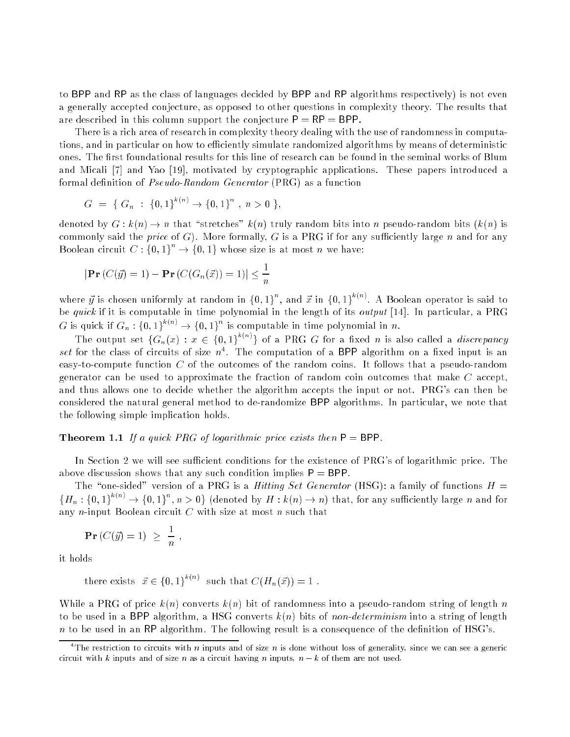to BPP and RP as the class of languages decided by BPP and RP algorithms respectively) is not even a generally accepted conjecture, as opposed to other questions in complexity theory. The results that are described in this column support the conjecture  $P = RP = BPP$ .

There is a rich area of research in complexity theory dealing with the use of randomness in computations, and in particular on how to efficiently simulate randomized algorithms by means of deterministic ones. The first foundational results for this line of research can be found in the seminal works of Blum and Micali [7] and Yao [19], motivated by cryptographic applications. These papers introduced a formal definition of *Pseudo-Random Generator* (PRG) as a function

$$
G = \{ G_n : \{0,1\}^{k(n)} \to \{0,1\}^n, n > 0 \},
$$

denoted by  $G : k(n) \to n$  that "stretches"  $k(n)$  truly random bits into n pseudo-random bits  $(k(n)$  is commonly said the *price* of G). More formally, G is a PRG if for any sufficiently large n and for any Boolean circuit  $C: \{0,1\} \rightarrow \{0,1\}$  whose size is at most n we have:

$$
|\mathbf{Pr}\left(C(\vec{y})=1\right) - \mathbf{Pr}\left(C(G_n(\vec{x}))=1\right)| \le \frac{1}{n}
$$

where y is chosen uniformly at random in  $\{0,1\}^n$ , and x in  $\{0,1\}^{n\times n}$ . A Boolean operator is said to be quick if it is computable in time polynomial in the length of its output [14]. In particular, a PRG G is quick if  $G_n: \{0,1\} \rightarrow \{0,1\}$  is computable in time polynomial in n.

The output set  $\{G_n(x): x \in \{0,1\} \setminus \{0\}$  of a PRG G for a fixed n is also called a *discrepancy* set for the class of circuits of size  $n^4$ . The computation of a BPP algorithm on a fixed input is an easy-to-compute function C of the outcomes of the random coins. It follows that a pseudo-random generator can be used to approximate the fraction of random coin outcomes that make C accept, and thus allows one to decide whether the algorithm accepts the input or not. PRG's can then be considered the natural general method to de-randomize BPP algorithms. In particular, we note that the following simple implication holds.

### **Theorem 1.1** If a quick PRG of logarithmic price exists then  $P = BPP$ .

In Section 2 we will see sufficient conditions for the existence of PRG's of logarithmic price. The above discussion shows that any such condition implies  $P = BPP$ .

The "one-sided" version of a PRG is a *Hitting Set Generator* (HSG): a family of functions  $H =$  ${H_n: \{0,1\}^n \to \{0,1\}^n, n > 0\}}$  (denoted by  $H: k(n) \to n$ ) that, for any sufficiently large n and for any  $n$ -input Boolean circuit  $C$  with size at most  $n$  such that

$$
\Pr\left(C(\vec{y})=1\right) \geq \frac{1}{n},
$$

it holds

there exists 
$$
\vec{x} \in \{0,1\}^{k(n)}
$$
 such that  $C(H_n(\vec{x})) = 1$ .

While a PRG of price  $k(n)$  converts  $k(n)$  bit of randomness into a pseudo-random string of length n to be used in a BPP algorithm, a HSG converts  $k(n)$  bits of non-determinism into a string of length  $n$  to be used in an RP algorithm. The following result is a consequence of the definition of HSG's.

The restriction to circuits with n inputs and of size n is done without loss of generality, since we can see a generic circuit with k inputs and of size n as a circuit having n inputs,  $n - k$  of them are not used.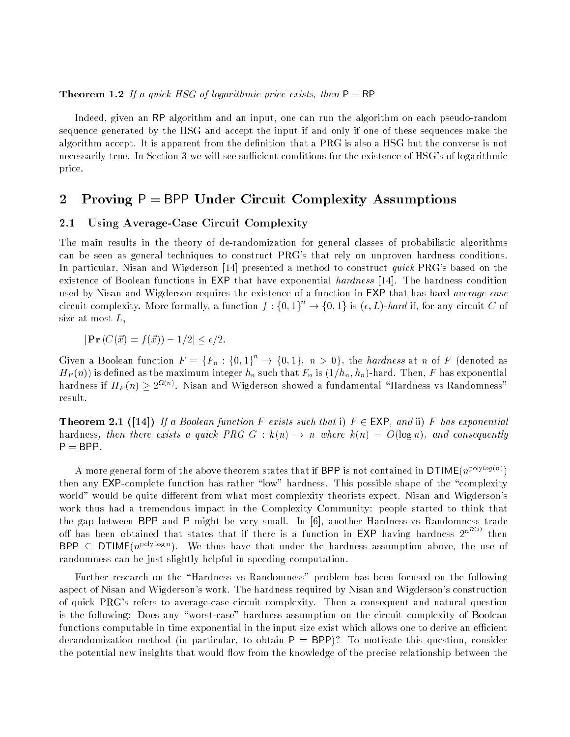### **Theorem 1.2** If a quick HSG of logarithmic price exists, then  $P = RP$

Indeed, given an RP algorithm and an input, one can run the algorithm on each pseudo-random sequence generated by the HSG and accept the input if and only if one of these sequences make the algorithm accept. It is apparent from the definition that a PRG is also a HSG but the converse is not necessarily true. In Section 3 we will see sufficient conditions for the existence of HSG's of logarithmic price.

### 2 Proving  $P = BPP$  Under Circuit Complexity Assumptions

### 2.1 Using Average-Case Circuit Complexity

The main results in the theory of de-randomization for general classes of probabilistic algorithms can be seen as general techniques to construct PRG's that rely on unproven hardness conditions. In particular, Nisan and Wigderson [14] presented a method to construct *quick* PRG's based on the existence of Boolean functions in EXP that have exponential hardness [14]. The hardness condition used by Nisan and Wigderson requires the existence of a function in EXP that has hard *average-case* circuit complexity. More formally, a function  $f: \{0,1\} \rightarrow \{0,1\}$  is  $(\epsilon, L)$ -hard if, for any circuit  $C$  of size at most  $L$ ,

$$
|\mathbf{Pr}\left(C(\vec{x}) = f(\vec{x})\right) - 1/2| \le \epsilon/2.
$$

Given a Boolean function  $F = \{F_n : \{0,1\}^c \to \{0,1\}, n > 0\}$ , the hardness at n of F (denoted as  $H_F(n)$ ) is defined as the maximum integer  $h_n$  such that  $F_n$  is  $(1/h_n, h_n)$ -hard. Then, F has exponential nardness if  $H_F(n) \geq 2^{-(n)}$ . Nisan and Wigderson showed a fundamental "Hardness vs Randomness" result.

**Theorem 2.1** ([14]) If a Boolean function F exists such that i)  $F \in EXP$ , and ii) F has exponential hardness, then there exists a quick PRG  $G : k(n) \rightarrow n$  where  $k(n) = O(\log n)$ , and consequently  $P = BPP$ .

A more general form of the above theorem states that if BPP is not contained in  $\mathsf{DTIME}(n^{\mathsf{polylog}(n)})$ then any EXP-complete function has rather "low" hardness. This possible shape of the "complexity world" would be quite different from what most complexity theorists expect. Nisan and Wigderson's work thus had a tremendous impact in the Complexity Community: people started to think that the gap between BPP and P might be very small. In [6], another Hardness-vs Randomness trade off has been obtained that states that if there is a function in EXP having hardness  $2^{n^{n+1}}$  then BPP  $\subset$  DTIME( $n^{\text{poly log }n}$ ). We thus have that under the hardness assumption above, the use of randomness can be just slightly helpful in speeding computation.

Further research on the "Hardness vs Randomness" problem has been focused on the following aspect of Nisan and Wigderson's work. The hardness required by Nisan and Wigderson's construction of quick PRG's refers to average-case circuit complexity. Then a consequent and natural question is the following: Does any "worst-case" hardness assumption on the circuit complexity of Boolean functions computable in time exponential in the input size exist which allows one to derive an efficient derandomization method (in particular, to obtain  $P = BPP$ )? To motivate this question, consider the potential new insights that would flow from the knowledge of the precise relationship between the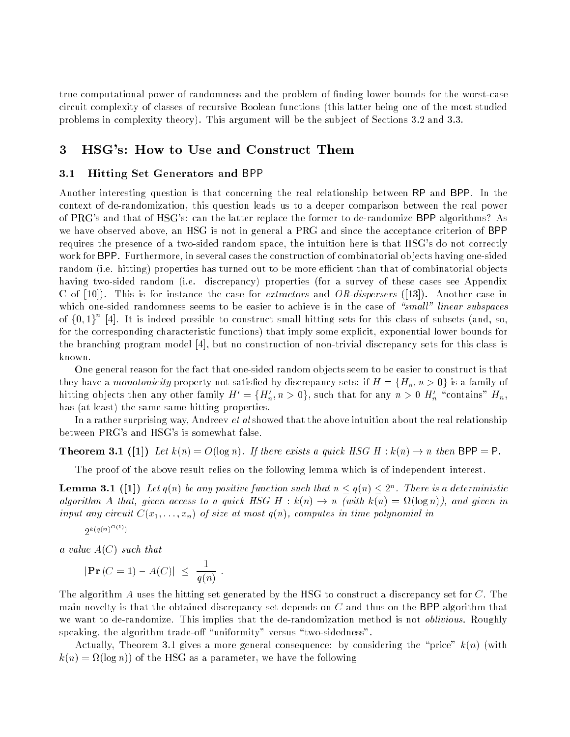true computational power of randomness and the problem of finding lower bounds for the worst-case circuit complexity of classes of recursive Boolean functions (this latter being one of the most studied problems in complexity theory). This argument will be the sub ject of Sections 3.2 and 3.3.

## 3 HSG's: How to Use and Construct Them

### 3.1 Hitting Set Generators and BPP

Another interesting question is that concerning the real relationship between RP and BPP. In the context of de-randomization, this question leads us to a deeper comparison between the real power of PRG's and that of HSG's: can the latter replace the former to de-randomize BPP algorithms? As we have observed above, an HSG is not in general a PRG and since the acceptance criterion of BPP requires the presence of a two-sided random space, the intuition here is that HSG's do not correctly work for BPP. Furthermore, in several cases the construction of combinatorial ob jects having one-sided random (i.e. hitting) properties has turned out to be more efficient than that of combinatorial objects having two-sided random (i.e. discrepancy) properties (for a survey of these cases see Appendix C of  $[10]$ . This is for instance the case for *extractors* and *OR-dispersers* ([13]). Another case in which one-sided randomness seems to be easier to achieve is in the case of "small" linear subspaces of f0; 1g <sup>n</sup> [4]. It is indeed possible to construct small hitting sets for this class of subsets (and, so, for the corresponding characteristic functions) that imply some explicit, exponential lower bounds for the branching program model [4], but no construction of non-trivial discrepancy sets for this class is known.

One general reason for the fact that one-sided random ob jects seem to be easier to construct is that they have a monotonicity property not satisfied by discrepancy sets: if  $H = \{H_n, n > 0\}$  is a family of nitting objects then any other family  $H^1 = \{H_n, n > 0\}$ , such that for any  $n > 0$   $H_n^1$  "contains"  $H_n$ , has (at least) the same same hitting properties.

In a rather surprising way, Andreev *et al* showed that the above intuition about the real relationship between PRG's and HSG's is somewhat false.

**Theorem 3.1** ([1]) Let  $k(n) = O(\log n)$ . If there exists a quick HSG H :  $k(n) \rightarrow n$  then BPP = P.

The proof of the above result relies on the following lemma which is of independent interest.

**Lemma 3.1** ([1]) Let  $q(n)$  be any positive function such that  $n \leq q(n) \leq 2^n$ . There is a deterministic algorithm A that, given a quick HSG H  $\sim$  k(n)  $\sim$  k(n)  $\sim$  k(n)  $\sim$  k(n)  $\sim$  k(n)  $\sim$  k(n)  $\sim$  k(n)  $\sim$  k(n)  $\sim$  k(n)  $\sim$  k(n)  $\sim$  k(n)  $\sim$  k(n)  $\sim$  k(n)  $\sim$  k(n)  $\sim$  k(n)  $\sim$  k(n)  $\sim$  k(n)  $\sim$  k(n)  $\sim$ input any circuit  $C(x_1, \ldots, x_n)$  of size at most  $q(n)$ , computes in time polynomial in

 $2^{k(q(n)^{O(1)})}$ 

a value  $A(C)$  such that

$$
|\mathbf{Pr}(C=1) - A(C)| \leq \frac{1}{q(n)}.
$$

The algorithm A uses the hitting set generated by the HSG to construct a discrepancy set for C. The main novelty is that the obtained discrepancy set depends on  $C$  and thus on the BPP algorithm that we want to de-randomize. This implies that the de-randomization method is not oblivious. Roughly speaking, the algorithm trade-off "uniformity" versus "two-sidedness".

Actually, Theorem 3.1 gives a more general consequence: by considering the "price"  $k(n)$  (with  $\mathbf{u} = \mathbf{u}$  of the HSG as a parameter, we have the following the following the following the following the following the following the following the following the following the following the following the following th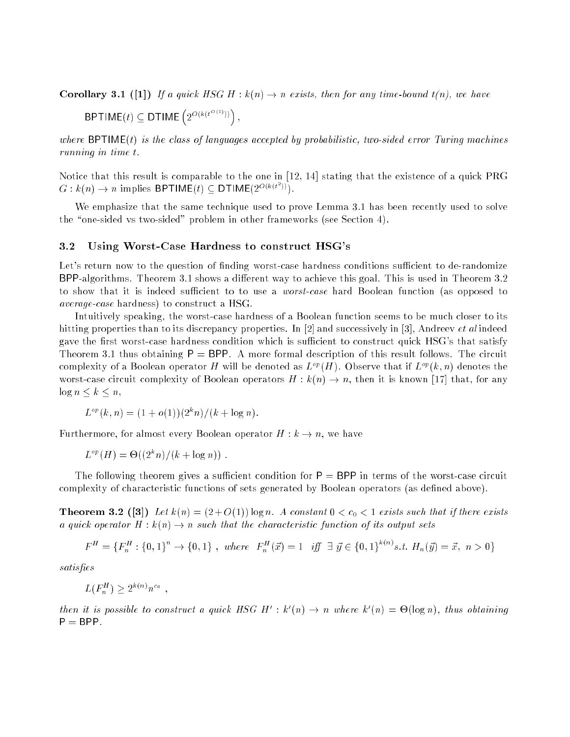**Corollary 3.1** ([1]) If a quick HSG H :  $k(n) \rightarrow n$  exists, then for any time-bound  $t(n)$ , we have BPTIME $(t) \in \mathsf{DTIME}\left(2^{O(k(t^{O(1)}))}\right)$  ,

where  $BPTIME(t)$  is the class of languages accepted by probabilistic, two-sided error Turing machines running in time t.

Notice that this result is comparable to the one in [12, 14] stating that the existence of a quick PRG  $G: k(n) \to n$  implies BPTIME(t)  $\subset$  DTIME( $2^{O(k(t^2))}$ ).

We emphasize that the same technique used to prove Lemma 3.1 has been recently used to solve the "one-sided vs two-sided" problem in other frameworks (see Section 4).

#### 3.2 Using Worst-Case Hardness to construct HSG's

Let's return now to the question of finding worst-case hardness conditions sufficient to de-randomize BPP-algorithms. Theorem 3.1 shows a different way to achieve this goal. This is used in Theorem 3.2 to show that it is indeed sufficient to to use a *worst-case* hard Boolean function (as opposed to average-case hardness) to construct a HSG.

Intuitively speaking, the worst-case hardness of a Boolean function seems to be much closer to its hitting properties than to its discrepancy properties. In [2] and successively in [3], Andreev *et al* indeed gave the first worst-case hardness condition which is sufficient to construct quick HSG's that satisfy Theorem 3.1 thus obtaining  $P = BPP$ . A more formal description of this result follows. The circuit complexity of a Boolean operator H will be denoted as  $L^{op}(H)$ . Observe that if  $L^{op}(k, n)$  denotes the worst-case circuit complexity of Boolean operators  $H : k(n) \to n$ , then it is known [17] that, for any  $\log n \leq k \leq n$ ,

$$
L^{op}(k,n) = (1+o(1))(2^{k}n)/(k+\log n).
$$

Furthermore, for almost every Boolean operator  $H : k \to n$ , we have

$$
L^{\circ p}(H) = \Theta((2^k n)/(k + \log n))
$$
.

The following theorem gives a sufficient condition for  $P = BPP$  in terms of the worst-case circuit complexity of characteristic functions of sets generated by Boolean operators (as defined above).

**Theorem 3.2** ([3]) Let  $k(n) = (2+O(1)) \log n$ . A constant  $0 < c_0 < 1$  exists such that if there exists a quick operator  $H : k(n) \to n$  such that the characteristic function of its output sets

$$
F^H = \{F_n^H : \{0, 1\}^n \to \{0, 1\} \text{ , where } F_n^H(\vec{x}) = 1 \text{ iff } \exists \vec{y} \in \{0, 1\}^{k(n)} \text{ s.t. } H_n(\vec{y}) = \vec{x}, n > 0\}
$$

satisfies

$$
L(F_n^H) \ge 2^{k(n)} n^{c_0}
$$

then it is possible to construct a quick  $H(S \cup H) : k(n) \rightarrow n$  where  $k(n) = \bigcup_{i=1}^n [log n_i]$ , thus obtaining  $P = BPP$ .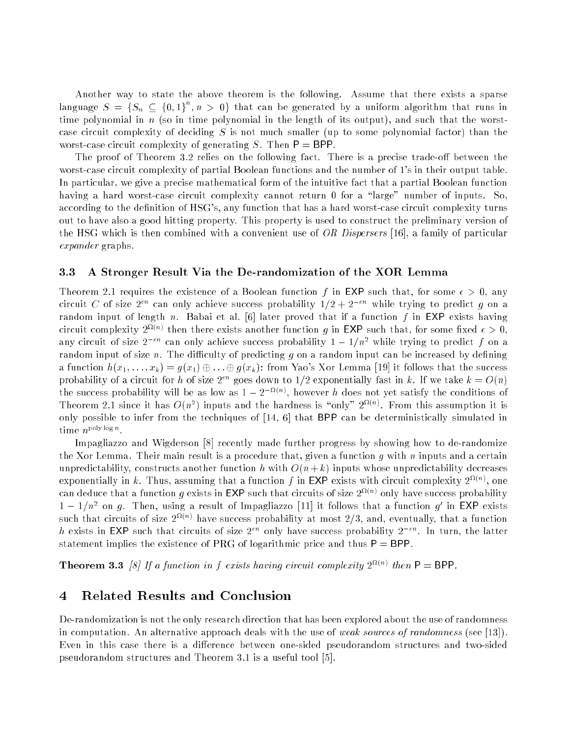Another way to state the above theorem is the following. Assume that there exists a sparse language  $S = \{S_n \subseteq \{0,1\}, n > 0\}$  that can be generated by a uniform algorithm that runs in time polynomial in  $n$  (so in time polynomial in the length of its output), and such that the worstcase circuit complexity of deciding  $S$  is not much smaller (up to some polynomial factor) than the worst-case circuit complexity of generating S. Then  $P = BPP$ .

The proof of Theorem 3.2 relies on the following fact. There is a precise trade-off between the worst-case circuit complexity of partial Boolean functions and the number of 1's in their output table. In particular, we give a precise mathematical form of the intuitive fact that a partial Boolean function having a hard worst-case circuit complexity cannot return 0 for a "large" number of inputs. So, according to the definition of HSG's, any function that has a hard worst-case circuit complexity turns out to have also a good hitting property. This property is used to construct the preliminary version of the HSG which is then combined with a convenient use of OR Dispersers [16], a family of particular expander graphs.

### 3.3 A Stronger Result Via the De-randomization of the XOR Lemma

Theorem 2.1 requires the existence of a Boolean function f in EXP such that, for some  $\epsilon > 0$ , any circuit C of size  $2^{\epsilon n}$  can only achieve success probability  $1/2+2^{-\epsilon n}$  while trying to predict g on a random input of length n. Babai et al. [6] later proved that if a function f in EXP exists having circuit complexity  $2^{\Omega(n)}$  then there exists another function q in EXP such that, for some fixed  $\epsilon > 0$ . any circuit of size  $2^{-\epsilon n}$  can only achieve success probability  $1-1/n^2$  while trying to predict f on a random input of size  $n$ . The difficulty of predicting  $g$  on a random input can be increased by defining a function  $h(x_1, \ldots, x_k) = g(x_1) \oplus \ldots \oplus g(x_k)$ : from Yao's Xor Lemma [19] it follows that the success probability of a circuit for h of size  $2^{\epsilon n}$  goes down to 1/2 exponentially fast in k. If we take  $k = O(n)$ the success probability will be as low as  $1 - 2$  and  $\eta$ , however h does not yet satisfy the conditions of Theorem 2.1 since it has  $O(n^2)$  inputs and the hardness is "only" 2<sup>2</sup> (1). From this assumption it is only possible to infer from the techniques of [14, 6] that BPP can be deterministically simulated in  $\lim_{n \to \infty}$  .

Impagliazzo and Wigderson [8] recently made further progress by showing how to de-randomize the Xor Lemma. Their main result is a procedure that, given a function  $q$  with  $n$  inputs and a certain unpredictability, constructs another function h with  $O(n + k)$  inputs whose unpredictability decreases exponentially in k. Thus, assuming that a function f in EXP exists with circuit complexity  $2^{\Omega(n)}$ , one can deduce that a function q exists in EXP such that circuits of size  $2^{u(n)}$  only have success probability  $1-1/n^2$  on g. Then, using a result of Impagliazzo [11] it follows that a function g' in EXP exists such that circuits of size  $2 \times 7$  have success probability at most  $2/3,$  and, eventually, that a function h exists in EXP such that circuits of size  $2^{\epsilon n}$  only have success probability  $2^{-\epsilon n}$ . In turn, the latter statement implies the existence of PRG of logarithmic price and thus  $P = BPP$ .

**Theorem 3.3** [8] If a function in f exists having circuit complexity  $2^{M(n)}$  then  $P = BPP$ .

# 4 Related Results and Conclusion

De-randomization is not the only research direction that has been explored about the use of randomness in computation. An alternative approach deals with the use of weak sources of randomness (see [13]). Even in this case there is a difference between one-sided pseudorandom structures and two-sided pseudorandom structures and Theorem 3.1 is a useful tool [5].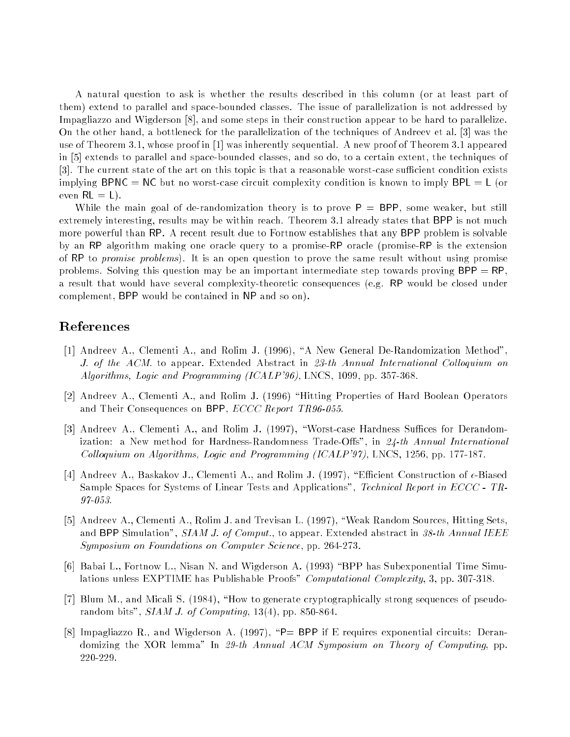A natural question to ask is whether the results described in this column (or at least part of them) extend to parallel and space-bounded classes. The issue of parallelization is not addressed by Impagliazzo and Wigderson [8], and some steps in their construction appear to be hard to parallelize. On the other hand, a bottleneck for the parallelization of the techniques of Andreev et al. [3] was the use of Theorem 3.1, whose proof in [1] was inherently sequential. A new proof of Theorem 3.1 appeared in [5] extends to parallel and space-bounded classes, and so do, to a certain extent, the techniques of [3]. The current state of the art on this topic is that a reasonable worst-case sufficient condition exists implying BPNC = NC but no worst-case circuit complexity condition is known to imply  $BPL = L$  (or even  $RL = L$ .

While the main goal of de-randomization theory is to prove  $P = BPP$ , some weaker, but still extremely interesting, results may be within reach. Theorem 3.1 already states that BPP is not much more powerful than RP. A recent result due to Fortnow establishes that any BPP problem is solvable by an RP algorithm making one oracle query to a promise-RP oracle (promise-RP is the extension of RP to promise problems). It is an open question to prove the same result without using promise problems. Solving this question may be an important intermediate step towards proving  $BPP = RP$ , a result that would have several complexity-theoretic consequences (e.g. RP would be closed under complement, BPP would be contained in NP and so on).

# References

- [1] Andreev A., Clementi A., and Rolim J. (1996), \A New General De-Randomization Method", J. of the ACM. to appear. Extended Abstract in 23-th Annual International Colloquium on Algorithms, Logic and Programming (ICALP'96), LNCS, 1099, pp. 357-368.
- [2] Andreev A., Clementi A., and Rolim J. (1996) "Hitting Properties of Hard Boolean Operators and Their Consequences on BPP,  $ECCC$  Report TR96-055.
- [3] Andreev A., Clementi A., and Rolim J. (1997), "Worst-case Hardness Suffices for Derandomization: a New method for Hardness-Randomness Trade-Offs", in  $24$ -th Annual International Colloquium on Algorithms, Logic and Programming  $(ICALP'97)$ , LNCS, 1256, pp. 177-187.
- [4] Andreev A., Baskakov J., Clementi A., and Rolim J. (1997), "Efficient Construction of  $\epsilon$ -Biased Sample Spaces for Systems of Linear Tests and Applications", Technical Report in ECCC - TR-97-053.
- [5] Andreev A., Clementi A., Rolim J. and Trevisan L. (1997), "Weak Random Sources, Hitting Sets, and BPP Simulation", SIAM J. of Comput., to appear. Extended abstract in 38-th Annual IEEE Symposium on Foundations on Computer Science, pp. 264-273.
- [6] Babai L., Fortnow L., Nisan N. and Wigderson A. (1993) \BPP has Subexponential Time Simulations unless EXPTIME has Publishable Proofs" Computational Complexity, 3, pp. 307-318.
- [7] Blum M., and Micali S.  $(1984)$ , "How to generate cryptographically strong sequences of pseudorandom bits",  $SIAMJ.$  of Computing, 13(4), pp. 850-864.
- [8] Impagliazzo R., and Wigderson A. (1997), "P= BPP if E requires exponential circuits: Derandomizing the XOR lemma" In 29-th Annual ACM Symposium on Theory of Computing, pp. 220-229.